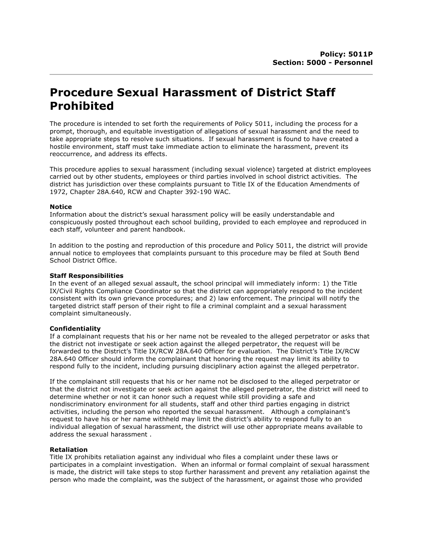# **Procedure Sexual Harassment of District Staff Prohibited**

The procedure is intended to set forth the requirements of Policy 5011, including the process for a prompt, thorough, and equitable investigation of allegations of sexual harassment and the need to take appropriate steps to resolve such situations. If sexual harassment is found to have created a hostile environment, staff must take immediate action to eliminate the harassment, prevent its reoccurrence, and address its effects.

This procedure applies to sexual harassment (including sexual violence) targeted at district employees carried out by other students, employees or third parties involved in school district activities. The district has jurisdiction over these complaints pursuant to Title IX of the Education Amendments of 1972, Chapter 28A.640, RCW and Chapter 392-190 WAC.

#### **Notice**

Information about the district's sexual harassment policy will be easily understandable and conspicuously posted throughout each school building, provided to each employee and reproduced in each staff, volunteer and parent handbook.

In addition to the posting and reproduction of this procedure and Policy 5011, the district will provide annual notice to employees that complaints pursuant to this procedure may be filed at South Bend School District Office.

#### **Staff Responsibilities**

In the event of an alleged sexual assault, the school principal will immediately inform: 1) the Title IX/Civil Rights Compliance Coordinator so that the district can appropriately respond to the incident consistent with its own grievance procedures; and 2) law enforcement. The principal will notify the targeted district staff person of their right to file a criminal complaint and a sexual harassment complaint simultaneously.

## **Confidentiality**

If a complainant requests that his or her name not be revealed to the alleged perpetrator or asks that the district not investigate or seek action against the alleged perpetrator, the request will be forwarded to the District's Title IX/RCW 28A.640 Officer for evaluation. The District's Title IX/RCW 28A.640 Officer should inform the complainant that honoring the request may limit its ability to respond fully to the incident, including pursuing disciplinary action against the alleged perpetrator.

If the complainant still requests that his or her name not be disclosed to the alleged perpetrator or that the district not investigate or seek action against the alleged perpetrator, the district will need to determine whether or not it can honor such a request while still providing a safe and nondiscriminatory environment for all students, staff and other third parties engaging in district activities, including the person who reported the sexual harassment. Although a complainant's request to have his or her name withheld may limit the district's ability to respond fully to an individual allegation of sexual harassment, the district will use other appropriate means available to address the sexual harassment .

## **Retaliation**

Title IX prohibits retaliation against any individual who files a complaint under these laws or participates in a complaint investigation. When an informal or formal complaint of sexual harassment is made, the district will take steps to stop further harassment and prevent any retaliation against the person who made the complaint, was the subject of the harassment, or against those who provided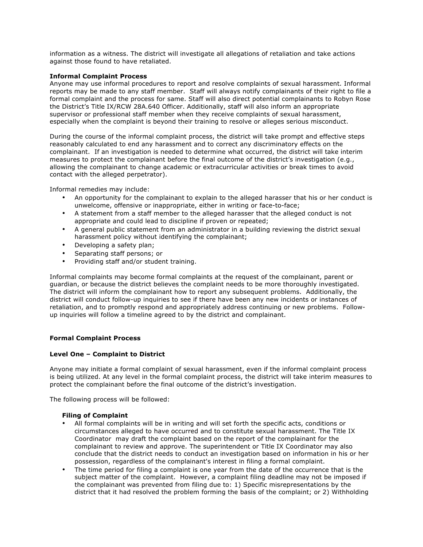information as a witness. The district will investigate all allegations of retaliation and take actions against those found to have retaliated.

#### **Informal Complaint Process**

Anyone may use informal procedures to report and resolve complaints of sexual harassment. Informal reports may be made to any staff member. Staff will always notify complainants of their right to file a formal complaint and the process for same. Staff will also direct potential complainants to Robyn Rose the District's Title IX/RCW 28A.640 Officer. Additionally, staff will also inform an appropriate supervisor or professional staff member when they receive complaints of sexual harassment, especially when the complaint is beyond their training to resolve or alleges serious misconduct.

During the course of the informal complaint process, the district will take prompt and effective steps reasonably calculated to end any harassment and to correct any discriminatory effects on the complainant. If an investigation is needed to determine what occurred, the district will take interim measures to protect the complainant before the final outcome of the district's investigation (e.g., allowing the complainant to change academic or extracurricular activities or break times to avoid contact with the alleged perpetrator).

Informal remedies may include:

- An opportunity for the complainant to explain to the alleged harasser that his or her conduct is unwelcome, offensive or inappropriate, either in writing or face-to-face;
- A statement from a staff member to the alleged harasser that the alleged conduct is not appropriate and could lead to discipline if proven or repeated;
- A general public statement from an administrator in a building reviewing the district sexual harassment policy without identifying the complainant;
- Developing a safety plan;
- Separating staff persons; or
- Providing staff and/or student training.

Informal complaints may become formal complaints at the request of the complainant, parent or guardian, or because the district believes the complaint needs to be more thoroughly investigated. The district will inform the complainant how to report any subsequent problems. Additionally, the district will conduct follow-up inquiries to see if there have been any new incidents or instances of retaliation, and to promptly respond and appropriately address continuing or new problems. Followup inquiries will follow a timeline agreed to by the district and complainant.

## **Formal Complaint Process**

# **Level One – Complaint to District**

Anyone may initiate a formal complaint of sexual harassment, even if the informal complaint process is being utilized. At any level in the formal complaint process, the district will take interim measures to protect the complainant before the final outcome of the district's investigation.

The following process will be followed:

#### **Filing of Complaint**

- All formal complaints will be in writing and will set forth the specific acts, conditions or circumstances alleged to have occurred and to constitute sexual harassment. The Title IX Coordinator may draft the complaint based on the report of the complainant for the complainant to review and approve. The superintendent or Title IX Coordinator may also conclude that the district needs to conduct an investigation based on information in his or her possession, regardless of the complainant's interest in filing a formal complaint.
- The time period for filing a complaint is one year from the date of the occurrence that is the subject matter of the complaint. However, a complaint filing deadline may not be imposed if the complainant was prevented from filing due to: 1) Specific misrepresentations by the district that it had resolved the problem forming the basis of the complaint; or 2) Withholding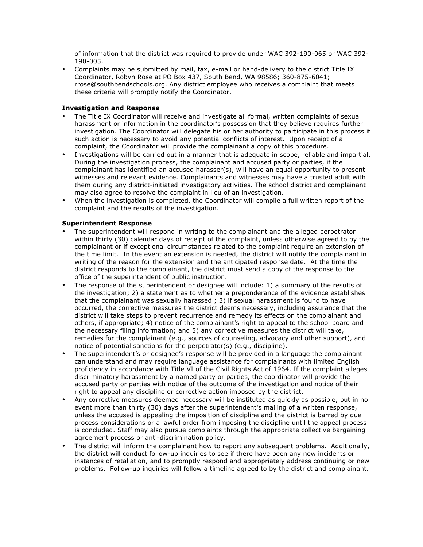of information that the district was required to provide under WAC 392-190-065 or WAC 392- 190-005.

• Complaints may be submitted by mail, fax, e-mail or hand-delivery to the district Title IX Coordinator, Robyn Rose at PO Box 437, South Bend, WA 98586; 360-875-6041; rrose@southbendschools.org. Any district employee who receives a complaint that meets these criteria will promptly notify the Coordinator.

## **Investigation and Response**

- The Title IX Coordinator will receive and investigate all formal, written complaints of sexual harassment or information in the coordinator's possession that they believe requires further investigation. The Coordinator will delegate his or her authority to participate in this process if such action is necessary to avoid any potential conflicts of interest. Upon receipt of a complaint, the Coordinator will provide the complainant a copy of this procedure.
- Investigations will be carried out in a manner that is adequate in scope, reliable and impartial. During the investigation process, the complainant and accused party or parties, if the complainant has identified an accused harasser(s), will have an equal opportunity to present witnesses and relevant evidence. Complainants and witnesses may have a trusted adult with them during any district-initiated investigatory activities. The school district and complainant may also agree to resolve the complaint in lieu of an investigation.
- When the investigation is completed, the Coordinator will compile a full written report of the complaint and the results of the investigation.

# **Superintendent Response**

- The superintendent will respond in writing to the complainant and the alleged perpetrator within thirty (30) calendar days of receipt of the complaint, unless otherwise agreed to by the complainant or if exceptional circumstances related to the complaint require an extension of the time limit. In the event an extension is needed, the district will notify the complainant in writing of the reason for the extension and the anticipated response date. At the time the district responds to the complainant, the district must send a copy of the response to the office of the superintendent of public instruction.
- The response of the superintendent or designee will include: 1) a summary of the results of the investigation; 2) a statement as to whether a preponderance of the evidence establishes that the complainant was sexually harassed ; 3) if sexual harassment is found to have occurred, the corrective measures the district deems necessary, including assurance that the district will take steps to prevent recurrence and remedy its effects on the complainant and others, if appropriate; 4) notice of the complainant's right to appeal to the school board and the necessary filing information; and 5) any corrective measures the district will take, remedies for the complainant (e.g., sources of counseling, advocacy and other support), and notice of potential sanctions for the perpetrator(s) (e.g., discipline).
- The superintendent's or designee's response will be provided in a language the complainant can understand and may require language assistance for complainants with limited English proficiency in accordance with Title VI of the Civil Rights Act of 1964. If the complaint alleges discriminatory harassment by a named party or parties, the coordinator will provide the accused party or parties with notice of the outcome of the investigation and notice of their right to appeal any discipline or corrective action imposed by the district.
- Any corrective measures deemed necessary will be instituted as quickly as possible, but in no event more than thirty (30) days after the superintendent's mailing of a written response, unless the accused is appealing the imposition of discipline and the district is barred by due process considerations or a lawful order from imposing the discipline until the appeal process is concluded. Staff may also pursue complaints through the appropriate collective bargaining agreement process or anti-discrimination policy.
- The district will inform the complainant how to report any subsequent problems. Additionally, the district will conduct follow-up inquiries to see if there have been any new incidents or instances of retaliation, and to promptly respond and appropriately address continuing or new problems. Follow-up inquiries will follow a timeline agreed to by the district and complainant.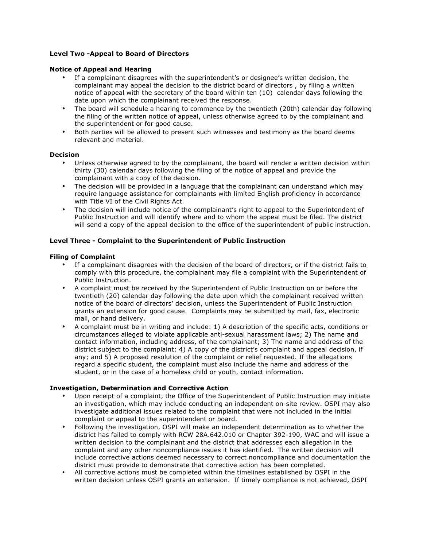## **Level Two -Appeal to Board of Directors**

#### **Notice of Appeal and Hearing**

- If a complainant disagrees with the superintendent's or designee's written decision, the complainant may appeal the decision to the district board of directors , by filing a written notice of appeal with the secretary of the board within ten (10) calendar days following the date upon which the complainant received the response.
- The board will schedule a hearing to commence by the twentieth (20th) calendar day following the filing of the written notice of appeal, unless otherwise agreed to by the complainant and the superintendent or for good cause.
- Both parties will be allowed to present such witnesses and testimony as the board deems relevant and material.

#### **Decision**

- Unless otherwise agreed to by the complainant, the board will render a written decision within thirty (30) calendar days following the filing of the notice of appeal and provide the complainant with a copy of the decision.
- The decision will be provided in a language that the complainant can understand which may require language assistance for complainants with limited English proficiency in accordance with Title VI of the Civil Rights Act.
- The decision will include notice of the complainant's right to appeal to the Superintendent of Public Instruction and will identify where and to whom the appeal must be filed. The district will send a copy of the appeal decision to the office of the superintendent of public instruction.

## **Level Three - Complaint to the Superintendent of Public Instruction**

## **Filing of Complaint**

- If a complainant disagrees with the decision of the board of directors, or if the district fails to comply with this procedure, the complainant may file a complaint with the Superintendent of Public Instruction.
- A complaint must be received by the Superintendent of Public Instruction on or before the twentieth (20) calendar day following the date upon which the complainant received written notice of the board of directors' decision, unless the Superintendent of Public Instruction grants an extension for good cause. Complaints may be submitted by mail, fax, electronic mail, or hand delivery.
- A complaint must be in writing and include: 1) A description of the specific acts, conditions or circumstances alleged to violate applicable anti-sexual harassment laws; 2) The name and contact information, including address, of the complainant; 3) The name and address of the district subject to the complaint; 4) A copy of the district's complaint and appeal decision, if any; and 5) A proposed resolution of the complaint or relief requested. If the allegations regard a specific student, the complaint must also include the name and address of the student, or in the case of a homeless child or youth, contact information.

## **Investigation, Determination and Corrective Action**

- Upon receipt of a complaint, the Office of the Superintendent of Public Instruction may initiate an investigation, which may include conducting an independent on-site review. OSPI may also investigate additional issues related to the complaint that were not included in the initial complaint or appeal to the superintendent or board.
- Following the investigation, OSPI will make an independent determination as to whether the district has failed to comply with RCW 28A.642.010 or Chapter 392-190, WAC and will issue a written decision to the complainant and the district that addresses each allegation in the complaint and any other noncompliance issues it has identified. The written decision will include corrective actions deemed necessary to correct noncompliance and documentation the district must provide to demonstrate that corrective action has been completed.
- All corrective actions must be completed within the timelines established by OSPI in the written decision unless OSPI grants an extension. If timely compliance is not achieved, OSPI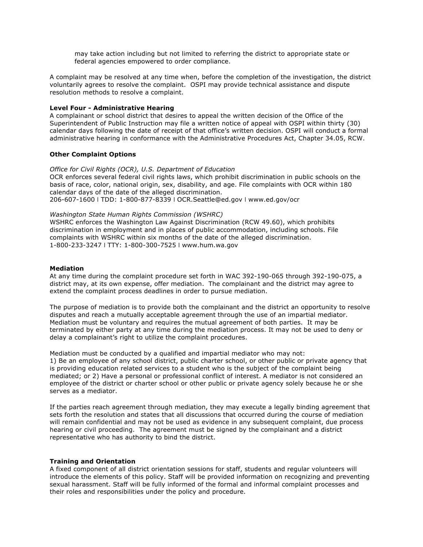may take action including but not limited to referring the district to appropriate state or federal agencies empowered to order compliance.

A complaint may be resolved at any time when, before the completion of the investigation, the district voluntarily agrees to resolve the complaint. OSPI may provide technical assistance and dispute resolution methods to resolve a complaint.

#### **Level Four - Administrative Hearing**

A complainant or school district that desires to appeal the written decision of the Office of the Superintendent of Public Instruction may file a written notice of appeal with OSPI within thirty (30) calendar days following the date of receipt of that office's written decision. OSPI will conduct a formal administrative hearing in conformance with the Administrative Procedures Act, Chapter 34.05, RCW.

#### **Other Complaint Options**

*Office for Civil Rights (OCR), U.S. Department of Education*  OCR enforces several federal civil rights laws, which prohibit discrimination in public schools on the basis of race, color, national origin, sex, disability, and age. File complaints with OCR within 180 calendar days of the date of the alleged discrimination. 206-607-1600 ǀ TDD: 1-800-877-8339 ǀ OCR.Seattle@ed.gov ǀ www.ed.gov/ocr

#### *Washington State Human Rights Commission (WSHRC)*

WSHRC enforces the Washington Law Against Discrimination (RCW 49.60), which prohibits discrimination in employment and in places of public accommodation, including schools. File complaints with WSHRC within six months of the date of the alleged discrimination. 1-800-233-3247 ǀ TTY: 1-800-300-7525 ǀ www.hum.wa.gov

#### **Mediation**

At any time during the complaint procedure set forth in WAC 392-190-065 through 392-190-075, a district may, at its own expense, offer mediation. The complainant and the district may agree to extend the complaint process deadlines in order to pursue mediation.

The purpose of mediation is to provide both the complainant and the district an opportunity to resolve disputes and reach a mutually acceptable agreement through the use of an impartial mediator. Mediation must be voluntary and requires the mutual agreement of both parties. It may be terminated by either party at any time during the mediation process. It may not be used to deny or delay a complainant's right to utilize the complaint procedures.

Mediation must be conducted by a qualified and impartial mediator who may not: 1) Be an employee of any school district, public charter school, or other public or private agency that is providing education related services to a student who is the subject of the complaint being mediated; or 2) Have a personal or professional conflict of interest. A mediator is not considered an employee of the district or charter school or other public or private agency solely because he or she serves as a mediator.

If the parties reach agreement through mediation, they may execute a legally binding agreement that sets forth the resolution and states that all discussions that occurred during the course of mediation will remain confidential and may not be used as evidence in any subsequent complaint, due process hearing or civil proceeding. The agreement must be signed by the complainant and a district representative who has authority to bind the district.

#### **Training and Orientation**

A fixed component of all district orientation sessions for staff, students and regular volunteers will introduce the elements of this policy. Staff will be provided information on recognizing and preventing sexual harassment. Staff will be fully informed of the formal and informal complaint processes and their roles and responsibilities under the policy and procedure.